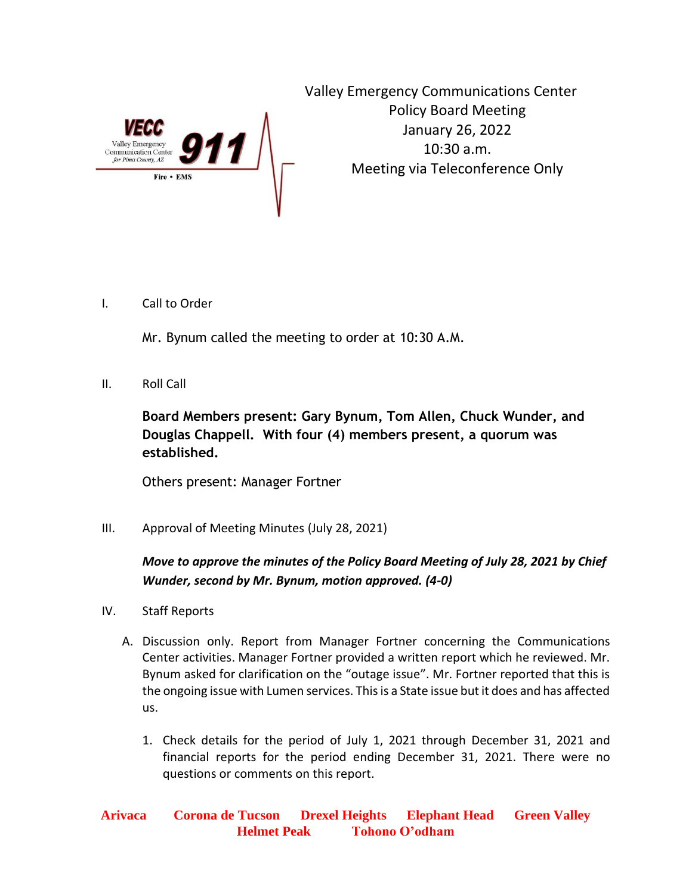

Valley Emergency Communications Center Policy Board Meeting January 26, 2022 10:30 a.m. Meeting via Teleconference Only

I. Call to Order

Mr. Bynum called the meeting to order at 10:30 A.M.

II. Roll Call

**Board Members present: Gary Bynum, Tom Allen, Chuck Wunder, and Douglas Chappell. With four (4) members present, a quorum was established.**

Others present: Manager Fortner

III. Approval of Meeting Minutes (July 28, 2021)

## *Move to approve the minutes of the Policy Board Meeting of July 28, 2021 by Chief Wunder, second by Mr. Bynum, motion approved. (4-0)*

- IV. Staff Reports
	- A. Discussion only. Report from Manager Fortner concerning the Communications Center activities. Manager Fortner provided a written report which he reviewed. Mr. Bynum asked for clarification on the "outage issue". Mr. Fortner reported that this is the ongoing issue with Lumen services. This is a State issue but it does and has affected us.
		- 1. Check details for the period of July 1, 2021 through December 31, 2021 and financial reports for the period ending December 31, 2021. There were no questions or comments on this report.